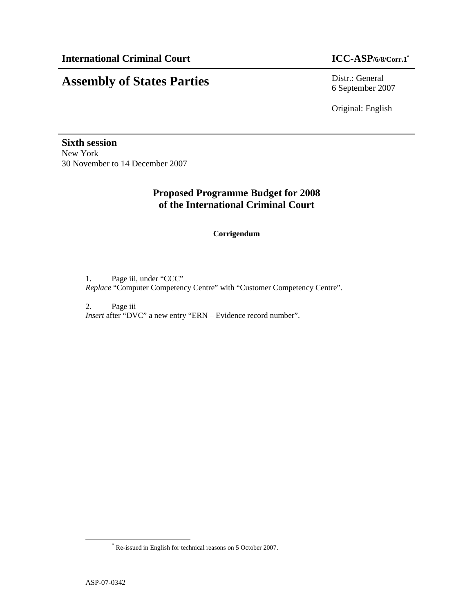# **Assembly of States Parties** Distr.: General

6 September 2007

Original: English

**Sixth session**  New York 30 November to 14 December 2007

## **Proposed Programme Budget for 2008 of the International Criminal Court**

## **Corrigendum**

1. Page iii, under "CCC" *Replace* "Computer Competency Centre" with "Customer Competency Centre".

2. Page iii *Insert* after "DVC" a new entry "ERN – Evidence record number".

-

<sup>\*</sup> Re-issued in English for technical reasons on 5 October 2007.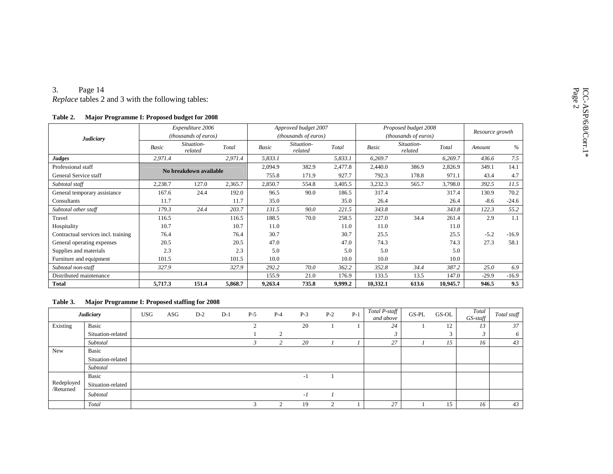### 3. Page 14

*Replace* tables 2 and 3 with the following tables:

| Table 2. | Major Programme I: Proposed budget for 2008 |  |  |
|----------|---------------------------------------------|--|--|
|----------|---------------------------------------------|--|--|

|                                     |              | Expenditure 2006       |         |         | Approved budget 2007  |         |          | Proposed budget 2008        |          | Resource growth |         |
|-------------------------------------|--------------|------------------------|---------|---------|-----------------------|---------|----------|-----------------------------|----------|-----------------|---------|
| Judiciary                           |              | (thousands of euros)   |         |         | (thousands of euros)  |         |          | <i>(thousands of euros)</i> |          |                 |         |
|                                     | <b>Basic</b> | Situation-<br>related  | Total   | Basic   | Situation-<br>related | Total   | Basic    | Situation-<br>related       | Total    | Amount          | $\%$    |
| Judges                              | 2,971.4      |                        | 2,971.4 | 5,833.1 |                       | 5,833.1 | 6,269.7  |                             | 6,269.7  | 436.6           | 7.5     |
| Professional staff                  |              | No breakdown available |         | 2,094.9 | 382.9                 | 2,477.8 | 2,440.0  | 386.9                       | 2,826.9  | 349.1           | 14.1    |
| General Service staff               |              |                        |         | 755.8   | 171.9                 | 927.7   | 792.3    | 178.8                       | 971.1    | 43.4            | 4.7     |
| Subtotal staff                      | 2,238.7      | 127.0                  | 2,365.7 | 2,850.7 | 554.8                 | 3,405.5 | 3,232.3  | 565.7                       | 3,798.0  | 392.5           | 11.5    |
| General temporary assistance        | 167.6        | 24.4                   | 192.0   | 96.5    | 90.0                  | 186.5   | 317.4    |                             | 317.4    | 130.9           | 70.2    |
| Consultants                         | 11.7         |                        | 11.7    | 35.0    |                       | 35.0    | 26.4     |                             | 26.4     | $-8.6$          | $-24.6$ |
| Subtotal other staff                | 179.3        | 24.4                   | 203.7   | 131.5   | 90.0                  | 221.5   | 343.8    |                             | 343.8    | 122.3           | 55.2    |
| Travel                              | 116.5        |                        | 116.5   | 188.5   | 70.0                  | 258.5   | 227.0    | 34.4                        | 261.4    | 2.9             | 1.1     |
| Hospitality                         | 10.7         |                        | 10.7    | 11.0    |                       | 11.0    | 11.0     |                             | 11.0     |                 |         |
| Contractual services incl. training | 76.4         |                        | 76.4    | 30.7    |                       | 30.7    | 25.5     |                             | 25.5     | $-5.2$          | $-16.9$ |
| General operating expenses          | 20.5         |                        | 20.5    | 47.0    |                       | 47.0    | 74.3     |                             | 74.3     | 27.3            | 58.1    |
| Supplies and materials              | 2.3          |                        | 2.3     | 5.0     |                       | 5.0     | 5.0      |                             | 5.0      |                 |         |
| Furniture and equipment             | 101.5        |                        | 101.5   | 10.0    |                       | 10.0    | 10.0     |                             | 10.0     |                 |         |
| Subtotal non-staff                  | 327.9        |                        | 327.9   | 292.2   | 70.0                  | 362.2   | 352.8    | 34.4                        | 387.2    | 25.0            | 6.9     |
| Distributed maintenance             |              |                        |         | 155.9   | 21.0                  | 176.9   | 133.5    | 13.5                        | 147.0    | $-29.9$         | $-16.9$ |
| <b>Total</b>                        | 5,717.3      | 151.4                  | 5,868.7 | 9,263.4 | 735.8                 | 9,999.2 | 10,332.1 | 613.6                       | 10,945.7 | 946.5           | 9.5     |

### **Table 3. Major Programme I: Proposed staffing for 2008**

|            | <b>Judiciary</b>  | <b>USG</b> | ASG | $D-2$ | $D-1$ | $P-5$       | $P-4$              | $P-3$ | $P-2$ | $P-1$ | Total P-staff<br>and above | GS-PL | GS-OL | Total<br>$GS$ -staff | Total staff |
|------------|-------------------|------------|-----|-------|-------|-------------|--------------------|-------|-------|-------|----------------------------|-------|-------|----------------------|-------------|
| Existing   | <b>Basic</b>      |            |     |       |       | $\sim$<br>∠ |                    | 20    |       |       | 24                         |       | 12    | 13                   | 37          |
|            | Situation-related |            |     |       |       |             | $\mathcal{L}$<br>∠ |       |       |       |                            |       |       | w                    | 6           |
|            | Subtotal          |            |     |       |       |             |                    | 20    |       |       | 27                         |       | 15    | 16                   | 43          |
| New        | Basic             |            |     |       |       |             |                    |       |       |       |                            |       |       |                      |             |
|            | Situation-related |            |     |       |       |             |                    |       |       |       |                            |       |       |                      |             |
|            | Subtotal          |            |     |       |       |             |                    |       |       |       |                            |       |       |                      |             |
|            | <b>Basic</b>      |            |     |       |       |             |                    | -1    |       |       |                            |       |       |                      |             |
| Redeployed | Situation-related |            |     |       |       |             |                    |       |       |       |                            |       |       |                      |             |
| /Returned  | Subtotal          |            |     |       |       |             |                    | $-I$  |       |       |                            |       |       |                      |             |
|            | Total             |            |     |       |       | $\sim$      | $\mathcal{D}$      | 19    | ◠     |       | 27                         |       | 15    | 16                   | 43          |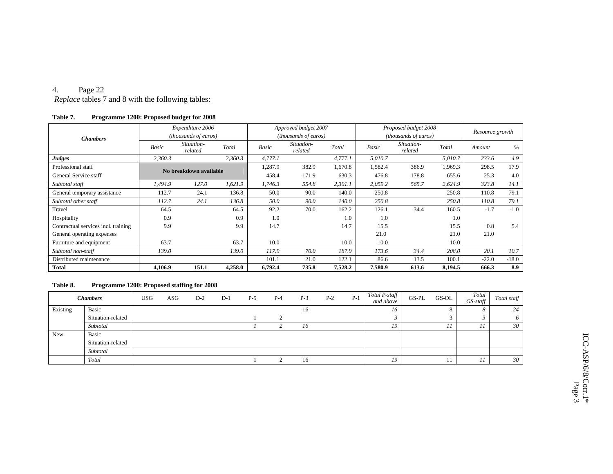### 4.Page 22

*Replace* tables 7 and 8 with the following tables:

### **Table 7. Programme 1200: Proposed budget for 2008**

|                                     |         | Expenditure 2006       |         |         | Approved budget 2007  |         |         | Proposed budget 2008  |         | Resource growth |         |
|-------------------------------------|---------|------------------------|---------|---------|-----------------------|---------|---------|-----------------------|---------|-----------------|---------|
| <b>Chambers</b>                     |         | (thousands of euros)   |         |         | (thousands of euros)  |         |         | (thousands of euros)  |         |                 |         |
|                                     | Basic   | Situation-<br>related  | Total   | Basic   | Situation-<br>related | Total   | Basic   | Situation-<br>related | Total   | Amount          | %       |
| Judges                              | 2,360.3 |                        | 2,360.3 | 4,777.1 |                       | 4,777.1 | 5,010.7 |                       | 5,010.7 | 233.6           | 4.9     |
| Professional staff                  |         | No breakdown available |         | 1,287.9 | 382.9                 | 1,670.8 | 1,582.4 | 386.9                 | 1.969.3 | 298.5           | 17.9    |
| General Service staff               |         |                        |         | 458.4   | 171.9                 | 630.3   | 476.8   | 178.8                 | 655.6   | 25.3            | 4.0     |
| Subtotal staff                      | 1.494.9 | 127.0                  | 1,621.9 | 1,746.3 | 554.8                 | 2,301.1 | 2,059.2 | 565.7                 | 2,624.9 | 323.8           | 14.1    |
| General temporary assistance        | 112.7   | 24.1                   | 136.8   | 50.0    | 90.0                  | 140.0   | 250.8   |                       | 250.8   | 110.8           | 79.1    |
| Subtotal other staff                | 112.7   | 24.1                   | 136.8   | 50.0    | 90.0                  | 140.0   | 250.8   |                       | 250.8   | 110.8           | 79.1    |
| Travel                              | 64.5    |                        | 64.5    | 92.2    | 70.0                  | 162.2   | 126.1   | 34.4                  | 160.5   | $-1.7$          | $-1.0$  |
| Hospitality                         | 0.9     |                        | 0.9     | 1.0     |                       | 1.0     | 1.0     |                       | 1.0     |                 |         |
| Contractual services incl. training | 9.9     |                        | 9.9     | 14.7    |                       | 14.7    | 15.5    |                       | 15.5    | 0.8             | 5.4     |
| General operating expenses          |         |                        |         |         |                       |         | 21.0    |                       | 21.0    | 21.0            |         |
| Furniture and equipment             | 63.7    |                        | 63.7    | 10.0    |                       | 10.0    | 10.0    |                       | 10.0    |                 |         |
| Subtotal non-staff                  | 139.0   |                        | 139.0   | 117.9   | 70.0                  | 187.9   | 173.6   | 34.4                  | 208.0   | 20.1            | 10.7    |
| Distributed maintenance             |         |                        |         | 101.1   | 21.0                  | 122.1   | 86.6    | 13.5                  | 100.1   | $-22.0$         | $-18.0$ |
| <b>Total</b>                        | 4,106.9 | 151.1                  | 4,258.0 | 6,792.4 | 735.8                 | 7,528.2 | 7,580.9 | 613.6                 | 8,194.5 | 666.3           | 8.9     |

### **Table 8. Programme 1200: Proposed staffing for 2008**

|          | <b>Chambers</b>   | <b>USG</b> | ASG. | $D-2$ | $D-1$ | $P-5$ | $P-4$ | $P-3$ | $P-2$ | $P-1$ | Total P-staff<br>and above | $GS-PL$ | GS-OL | Total<br>$GS\text{-}staff$ | Total staff |
|----------|-------------------|------------|------|-------|-------|-------|-------|-------|-------|-------|----------------------------|---------|-------|----------------------------|-------------|
| Existing | Basic             |            |      |       |       |       |       | 16    |       |       | 16                         |         |       |                            | 24          |
|          | Situation-related |            |      |       |       |       |       |       |       |       |                            |         |       |                            | 6           |
|          | Subtotal          |            |      |       |       |       |       | 16    |       |       | 19                         |         | 11    | - 11                       | 30          |
| New      | Basic             |            |      |       |       |       |       |       |       |       |                            |         |       |                            |             |
|          | Situation-related |            |      |       |       |       |       |       |       |       |                            |         |       |                            |             |
|          | Subtotal          |            |      |       |       |       |       |       |       |       |                            |         |       |                            |             |
|          | Total             |            |      |       |       |       |       | 16    |       |       | 19                         |         | 11    |                            | 30          |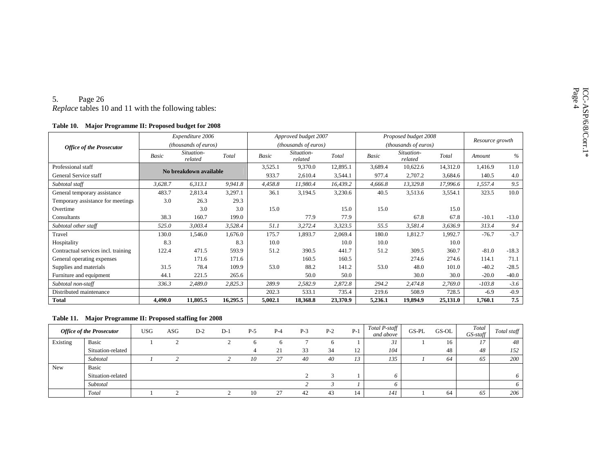| Table 10. | <b>Major Programme II: Proposed budget for 2008</b> |  |  |  |
|-----------|-----------------------------------------------------|--|--|--|
|-----------|-----------------------------------------------------|--|--|--|

| 5.<br>Page 26<br><i>Replace</i> tables 10 and 11 with the following tables: |              |                        |          |              |                       |          |              |                       |          |                 |         |
|-----------------------------------------------------------------------------|--------------|------------------------|----------|--------------|-----------------------|----------|--------------|-----------------------|----------|-----------------|---------|
| Major Programme II: Proposed budget for 2008<br>Table 10.                   |              |                        |          |              |                       |          |              |                       |          |                 |         |
|                                                                             |              | Expenditure 2006       |          |              | Approved budget 2007  |          |              | Proposed budget 2008  |          | Resource growth |         |
| <b>Office of the Prosecutor</b>                                             |              | (thousands of euros)   |          |              | (thousands of euros)  |          |              | (thousands of euros)  |          |                 |         |
|                                                                             | <b>Basic</b> | Situation-<br>related  | Total    | <b>Basic</b> | Situation-<br>related | Total    | <b>Basic</b> | Situation-<br>related | Total    | Amount          | $\%$    |
| Professional staff                                                          |              | No breakdown available |          | 3,525.1      | 9,370.0               | 12,895.1 | 3,689.4      | 10,622.6              | 14,312.0 | 1,416.9         | 11.0    |
| General Service staff                                                       |              |                        |          | 933.7        | 2,610.4               | 3,544.1  | 977.4        | 2,707.2               | 3,684.6  | 140.5           | 4.0     |
| Subtotal staff                                                              | 3,628.7      | 6,313.1                | 9,941.8  | 4,458.8      | 11,980.4              | 16,439.2 | 4,666.8      | 13,329.8              | 17,996.6 | 1,557.4         | 9.5     |
| General temporary assistance                                                | 483.7        | 2,813.4                | 3,297.1  | 36.1         | 3,194.5               | 3,230.6  | 40.5         | 3,513.6               | 3,554.1  | 323.5           | 10.0    |
| Temporary assistance for meetings                                           | 3.0          | 26.3                   | 29.3     |              |                       |          |              |                       |          |                 |         |
| Overtime                                                                    |              | 3.0                    | 3.0      | 15.0         |                       | 15.0     | 15.0         |                       | 15.0     |                 |         |
| Consultants                                                                 | 38.3         | 160.7                  | 199.0    |              | 77.9                  | 77.9     |              | 67.8                  | 67.8     | $-10.1$         | $-13.0$ |
| Subtotal other staff                                                        | 525.0        | 3,003.4                | 3.528.4  | 51.1         | 3.272.4               | 3,323.5  | 55.5         | 3,581.4               | 3.636.9  | 313.4           | 9.4     |
| Travel                                                                      | 130.0        | 1,546.0                | 1,676.0  | 175.7        | 1,893.7               | 2,069.4  | 180.0        | 1,812.7               | 1,992.7  | $-76.7$         | $-3.7$  |
| Hospitality                                                                 | 8.3          |                        | 8.3      | 10.0         |                       | 10.0     | 10.0         |                       | 10.0     |                 |         |
| Contractual services incl. training                                         | 122.4        | 471.5                  | 593.9    | 51.2         | 390.5                 | 441.7    | 51.2         | 309.5                 | 360.7    | $-81.0$         | $-18.3$ |
| General operating expenses                                                  |              | 171.6                  | 171.6    |              | 160.5                 | 160.5    |              | 274.6                 | 274.6    | 114.1           | 71.1    |
| Supplies and materials                                                      | 31.5         | 78.4                   | 109.9    | 53.0         | 88.2                  | 141.2    | 53.0         | 48.0                  | 101.0    | $-40.2$         | $-28.5$ |
| Furniture and equipment                                                     | 44.1         | 221.5                  | 265.6    |              | 50.0                  | 50.0     |              | 30.0                  | 30.0     | $-20.0$         | $-40.0$ |
| Subtotal non-staff                                                          | 336.3        | 2,489.0                | 2,825.3  | 289.9        | 2,582.9               | 2,872.8  | 294.2        | 2,474.8               | 2,769.0  | $-103.8$        | $-3.6$  |
| Distributed maintenance                                                     |              |                        |          | 202.3        | 533.1                 | 735.4    | 219.6        | 508.9                 | 728.5    | $-6.9$          | $-0.9$  |
| <b>Total</b>                                                                | 4.490.0      | 11,805.5               | 16,295.5 | 5,002.1      | 18.368.8              | 23,370.9 | 5,236.1      | 19,894.9              | 25,131.0 | 1.760.1         | 7.5     |

### **Table 11. Major Programme II: Proposed staffing for 2008**

|          | <b>Office of the Prosecutor</b> | <b>USG</b> | ASG | $D-2$ | $D-1$ | $P-5$ | $P-4$ | $P-3$ | $P-2$ | $P-1$ | Total P-staff<br>and above | $GS-PL$ | GS-OL | Total<br>$GS$ -staff | Total staff |
|----------|---------------------------------|------------|-----|-------|-------|-------|-------|-------|-------|-------|----------------------------|---------|-------|----------------------|-------------|
| Existing | <b>Basic</b>                    |            |     |       |       |       |       |       |       |       | 31                         |         | 16    |                      | 48          |
|          | Situation-related               |            |     |       |       | 4     | 21    | 33    | 34    | 12    | 104                        |         | 48    | 48                   | 152         |
|          | Subtotal                        |            |     |       |       | 10    | 27    | 40    | 40    | 12    | 135                        |         | 64    | 65                   | 200         |
| New      | <b>Basic</b>                    |            |     |       |       |       |       |       |       |       |                            |         |       |                      |             |
|          | Situation-related               |            |     |       |       |       |       |       |       |       |                            |         |       |                      | 6           |
|          | Subtotal                        |            |     |       |       |       |       |       |       |       |                            |         |       |                      | 6           |
|          | Total                           |            |     |       |       | 10    | 27    | 42    | 43    | 14    | 141                        |         | 64    | 65                   | 206         |